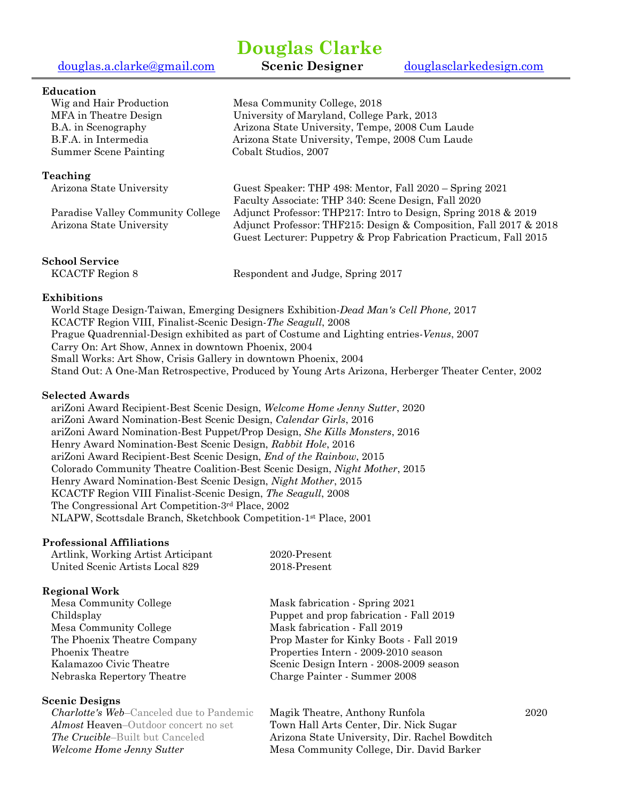[douglas.a.clarke@gmail.com](mailto:douglas.a.clarke@gmail.com) **Scenic Designer** [douglasclarkedesign.com](http://douglasclarkedesign.com/)

# **Douglas Clarke**

## **Education**

| Wig and Hair Production                | Mesa Community College, 2018                                                               |
|----------------------------------------|--------------------------------------------------------------------------------------------|
| MFA in Theatre Design                  | University of Maryland, College Park, 2013                                                 |
| B.A. in Scenography                    | Arizona State University, Tempe, 2008 Cum Laude                                            |
| B.F.A. in Intermedia                   | Arizona State University, Tempe, 2008 Cum Laude                                            |
| Summer Scene Painting                  | Cobalt Studios, 2007                                                                       |
| Teaching                               |                                                                                            |
| Arizona State University               | Guest Speaker: THP 498: Mentor, Fall 2020 – Spring 2021                                    |
|                                        | Faculty Associate: THP 340: Scene Design, Fall 2020                                        |
| Paradise Valley Community College      | Adjunct Professor: THP217: Intro to Design, Spring 2018 & 2019                             |
| Arizona State University               | Adjunct Professor: THF215: Design & Composition, Fall 2017 & 2018                          |
|                                        | Guest Lecturer: Puppetry & Prop Fabrication Practicum, Fall 2015                           |
| School Service                         |                                                                                            |
| $T Z \cap A$ $\cap T T$ $\cap$ $\cdot$ | $\mathbf{1}$ $\mathbf{1}$ $\mathbf{1}$ $\mathbf{1}$ $\mathbf{1}$ $\mathbf{1}$ $\mathbf{1}$ |

KCACTF Region 8 **Respondent and Judge, Spring 2017** 

## **Exhibitions**

World Stage Design-Taiwan, Emerging Designers Exhibition-*Dead Man's Cell Phone,* 2017 KCACTF Region VIII, Finalist-Scenic Design-*The Seagull*, 2008 Prague Quadrennial-Design exhibited as part of Costume and Lighting entries*-Venus*, 2007 Carry On: Art Show, Annex in downtown Phoenix, 2004 Small Works: Art Show, Crisis Gallery in downtown Phoenix, 2004 Stand Out: A One-Man Retrospective, Produced by Young Arts Arizona, Herberger Theater Center, 2002

## **Selected Awards**

ariZoni Award Recipient-Best Scenic Design, *Welcome Home Jenny Sutter*, 2020 ariZoni Award Nomination-Best Scenic Design, *Calendar Girls*, 2016 ariZoni Award Nomination-Best Puppet/Prop Design, *She Kills Monsters*, 2016 Henry Award Nomination-Best Scenic Design, *Rabbit Hole*, 2016 ariZoni Award Recipient-Best Scenic Design, *End of the Rainbow*, 2015 Colorado Community Theatre Coalition-Best Scenic Design, *Night Mother*, 2015 Henry Award Nomination-Best Scenic Design, *Night Mother*, 2015 KCACTF Region VIII Finalist-Scenic Design, *The Seagull*, 2008 The Congressional Art Competition-3rd Place, 2002 NLAPW, Scottsdale Branch, Sketchbook Competition-1st Place, 2001

## **Professional Affiliations**

| Artlink, Working Artist Articipant | 2020-Present |
|------------------------------------|--------------|
| United Scenic Artists Local 829    | 2018 Present |
|                                    |              |

## **Regional Work**

| Mesa Community College      | Mask fabrication - Spring 2021          |
|-----------------------------|-----------------------------------------|
| Childsplay                  | Puppet and prop fabrication - Fall 2019 |
| Mesa Community College      | Mask fabrication - Fall 2019            |
| The Phoenix Theatre Company | Prop Master for Kinky Boots - Fall 2019 |
| Phoenix Theatre             | Properties Intern - 2009-2010 season    |
| Kalamazoo Civic Theatre     | Scenic Design Intern - 2008-2009 season |
| Nebraska Repertory Theatre  | Charge Painter - Summer 2008            |
|                             |                                         |

## **Scenic Designs**

*Almost* Heaven–Outdoor concert no set Town Hall Arts Center, Dir. Nick Sugar

*Charlotte's Web*–Canceled due to Pandemic Magik Theatre, Anthony Runfola 2020 **The Crucible–Built but Canceled Arizona State University, Dir. Rachel Bowditch** *Welcome Home Jenny Sutter* Mesa Community College, Dir. David Barker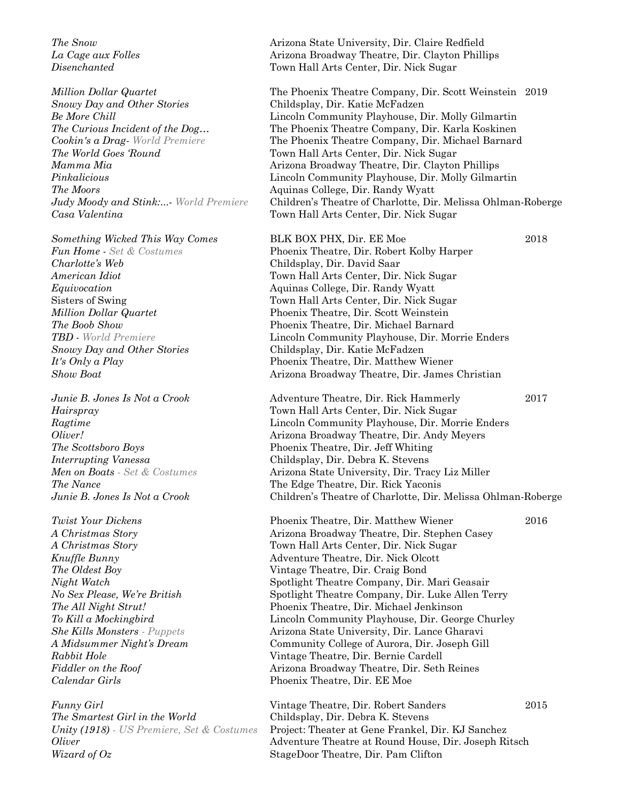*Snowy Day and Other Stories* Childsplay, Dir. Katie McFadzen *The World Goes 'Round* Town Hall Arts Center, Dir. Nick Sugar **The Moors Aquinas College, Dir. Randy Wyatt** *Casa Valentina* Town Hall Arts Center, Dir. Nick Sugar

*Charlotte's Web* Childsplay, Dir. David Saar

*Calendar Girls* Phoenix Theatre, Dir. EE Moe

*The Smartest Girl in the World* Childsplay, Dir. Debra K. Stevens *Wizard of Oz* StageDoor Theatre, Dir. Pam Clifton

*The Snow* Arizona State University, Dir. Claire Redfield *La Cage aux Folles* Arizona Broadway Theatre, Dir. Clayton Phillips *Disenchanted* Town Hall Arts Center, Dir. Nick Sugar

*Million Dollar Quartet* The Phoenix Theatre Company, Dir. Scott Weinstein 2019 *Be More Chill* Lincoln Community Playhouse, Dir. Molly Gilmartin *The Curious Incident of the Dog...* The Phoenix Theatre Company, Dir. Karla Koskinen *Cookin's a Drag- World Premiere* The Phoenix Theatre Company, Dir. Michael Barnard *Mamma Mia* **Arizona Broadway Theatre, Dir. Clayton Phillips** Clayton Phillips *Pinkalicious* Lincoln Community Playhouse, Dir. Molly Gilmartin *Judy Moody and Stink:...- World Premiere* Children's Theatre of Charlotte, Dir. Melissa Ohlman-Roberge

*Something Wicked This Way Comes* **BLK BOX PHX, Dir. EE Moe** 2018 *Fun Home - Set & Costumes* Phoenix Theatre, Dir. Robert Kolby Harper *American Idiot* Town Hall Arts Center, Dir. Nick Sugar *Equivocation* Aquinas College, Dir. Randy Wyatt Sisters of Swing Town Hall Arts Center, Dir. Nick Sugar *Million Dollar Quartet* Phoenix Theatre, Dir. Scott Weinstein *The Boob Show* Phoenix Theatre, Dir. Michael Barnard *TBD - World Premiere* Lincoln Community Playhouse, Dir. Morrie Enders *Snowy Day and Other Stories* Childsplay, Dir. Katie McFadzen *It's Only a Play* **Phoenix Theatre, Dir. Matthew Wiener** *Show Boat* Arizona Broadway Theatre, Dir. James Christian

*Junie B. Jones Is Not a Crook* Adventure Theatre, Dir. Rick Hammerly 2017 *Hairspray* Town Hall Arts Center, Dir. Nick Sugar *Ragtime* Lincoln Community Playhouse, Dir. Morrie Enders *Oliver!* Arizona Broadway Theatre, Dir. Andy Meyers *The Scottsboro Boys* Phoenix Theatre, Dir. Jeff Whiting *Interrupting Vanessa* Childsplay, Dir. Debra K. Stevens *Men on Boats - Set & Costumes* Arizona State University, Dir. Tracy Liz Miller **The Nance** The Edge Theatre, Dir. Rick Yaconis *Junie B. Jones Is Not a Crook* Children's Theatre of Charlotte, Dir. Melissa Ohlman-Roberge

*Twist Your Dickens* Phoenix Theatre, Dir. Matthew Wiener 2016 *A Christmas Story* Arizona Broadway Theatre, Dir. Stephen Casey *A Christmas Story* Town Hall Arts Center, Dir. Nick Sugar *Knuffle Bunny* Adventure Theatre, Dir. Nick Olcott *The Oldest Boy* **Vintage Theatre, Dir. Craig Bond** *Night Watch* Spotlight Theatre Company, Dir. Mari Geasair *No Sex Please, We're British* Spotlight Theatre Company, Dir. Luke Allen Terry *The All Night Strut!* Phoenix Theatre, Dir. Michael Jenkinson *To Kill a Mockingbird* Lincoln Community Playhouse, Dir. George Churley *She Kills Monsters - Puppets* Arizona State University, Dir. Lance Gharavi *A Midsummer Night's Dream* Community College of Aurora, Dir. Joseph Gill *Rabbit Hole* Vintage Theatre, Dir. Bernie Cardell *Fiddler on the Roof* Arizona Broadway Theatre, Dir. Seth Reines

*Funny Girl* Vintage Theatre, Dir. Robert Sanders 2015 *Unity (1918) - US Premiere, Set & Costumes* Project: Theater at Gene Frankel, Dir. KJ Sanchez *Oliver* Adventure Theatre at Round House, Dir. Joseph Ritsch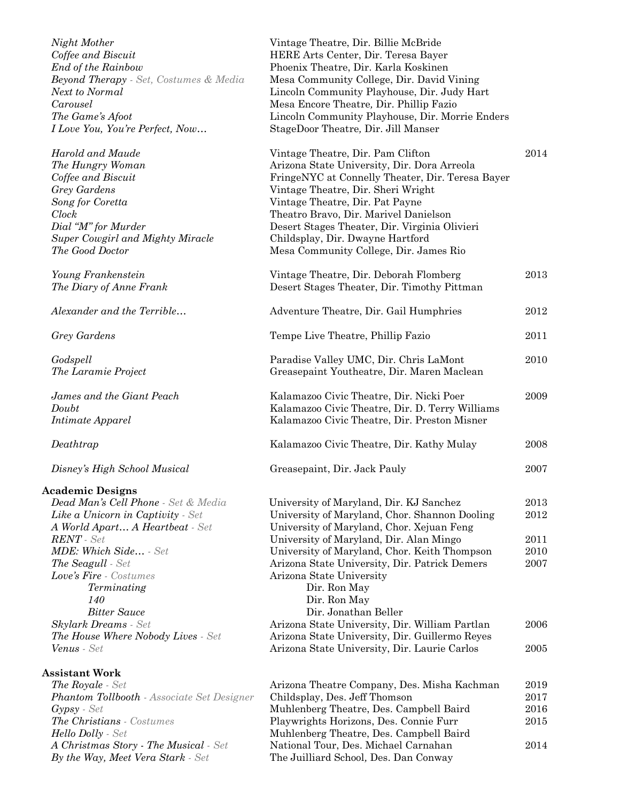*Night Mother* Vintage Theatre, Dir. Billie McBride *Coffee and Biscuit End of the Rainbow* **Beyond Therapy** *- Set, Costumes & Media Next to Normal The Game's Afoot I Love You, You're Perfect, Now...* 

## **Academic Designs**

| Arizona Theatre Company, Des. Misha Kachman | 2019 |
|---------------------------------------------|------|
| Childsplay, Des. Jeff Thomson               | 2017 |
| Muhlenberg Theatre, Des. Campbell Baird     | 2016 |
| Playwrights Horizons, Des. Connie Furr      | 2015 |
| Muhlenberg Theatre, Des. Campbell Baird     |      |
| National Tour, Des. Michael Carnahan        | 2014 |
| The Juilliard School, Des. Dan Conway       |      |
|                                             |      |

| $1.10, 100$ $11.001$ 001<br>Coffee and Biscuit                  | $\frac{1}{2}$<br>HERE Arts Center, Dir. Teresa Bayer |      |
|-----------------------------------------------------------------|------------------------------------------------------|------|
| End of the Rainbow                                              | Phoenix Theatre, Dir. Karla Koskinen                 |      |
|                                                                 |                                                      |      |
| <b>Beyond Therapy</b> - Set, Costumes & Media<br>Next to Normal | Mesa Community College, Dir. David Vining            |      |
| Carousel                                                        | Lincoln Community Playhouse, Dir. Judy Hart          |      |
|                                                                 | Mesa Encore Theatre, Dir. Phillip Fazio              |      |
| The Game's Afoot                                                | Lincoln Community Playhouse, Dir. Morrie Enders      |      |
| I Love You, You're Perfect, Now                                 | StageDoor Theatre, Dir. Jill Manser                  |      |
| Harold and Maude                                                | Vintage Theatre, Dir. Pam Clifton                    | 2014 |
| The Hungry Woman                                                | Arizona State University, Dir. Dora Arreola          |      |
| Coffee and Biscuit                                              | FringeNYC at Connelly Theater, Dir. Teresa Bayer     |      |
| Grey Gardens                                                    | Vintage Theatre, Dir. Sheri Wright                   |      |
| Song for Coretta                                                | Vintage Theatre, Dir. Pat Payne                      |      |
| $^{Clock}$                                                      | Theatro Bravo, Dir. Marivel Danielson                |      |
| Dial "M" for Murder                                             | Desert Stages Theater, Dir. Virginia Olivieri        |      |
| Super Cowgirl and Mighty Miracle                                | Childsplay, Dir. Dwayne Hartford                     |      |
| The Good Doctor                                                 | Mesa Community College, Dir. James Rio               |      |
| Young Frankenstein                                              | Vintage Theatre, Dir. Deborah Flomberg               | 2013 |
| The Diary of Anne Frank                                         | Desert Stages Theater, Dir. Timothy Pittman          |      |
| Alexander and the Terrible                                      | Adventure Theatre, Dir. Gail Humphries               | 2012 |
| Grey Gardens                                                    | Tempe Live Theatre, Phillip Fazio                    | 2011 |
| Godspell                                                        | Paradise Valley UMC, Dir. Chris LaMont               | 2010 |
| The Laramie Project                                             | Greasepaint Youtheatre, Dir. Maren Maclean           |      |
| James and the Giant Peach                                       | Kalamazoo Civic Theatre, Dir. Nicki Poer             | 2009 |
| Doubt                                                           | Kalamazoo Civic Theatre, Dir. D. Terry Williams      |      |
| Intimate Apparel                                                | Kalamazoo Civic Theatre, Dir. Preston Misner         |      |
| Deathtrap                                                       | Kalamazoo Civic Theatre, Dir. Kathy Mulay            | 2008 |
| Disney's High School Musical                                    | Greasepaint, Dir. Jack Pauly                         | 2007 |
| cademic Designs                                                 |                                                      |      |
| Dead Man's Cell Phone - Set & Media                             | University of Maryland, Dir. KJ Sanchez              | 2013 |
| <b>Like a Unicorn in Captivity</b> - Set                        | University of Maryland, Chor. Shannon Dooling        | 2012 |
| A World Apart A Heartbeat - Set                                 | University of Maryland, Chor. Xejuan Feng            |      |
| $RENT$ - Set                                                    | University of Maryland, Dir. Alan Mingo              | 2011 |
| <b>MDE: Which Side</b> - Set                                    | University of Maryland, Chor. Keith Thompson         | 2010 |
| <b>The Seagull</b> - Set                                        | Arizona State University, Dir. Patrick Demers        | 2007 |
| <b>Love's Fire</b> - Costumes                                   | Arizona State University                             |      |
| Terminating                                                     | Dir. Ron May                                         |      |
| 140                                                             | Dir. Ron May                                         |      |
| <b>Bitter Sauce</b>                                             | Dir. Jonathan Beller                                 |      |
| <b>Skylark Dreams</b> - Set                                     | Arizona State University, Dir. William Partlan       | 2006 |
| <b>The House Where Nobody Lives - Set</b>                       | Arizona State University, Dir. Guillermo Reyes       |      |
| <b>Venus</b> - Set                                              | Arizona State University, Dir. Laurie Carlos         | 2005 |
| ssistant Work                                                   |                                                      |      |
| <b>The Royale</b> - Set                                         | Arizona Theatre Company, Des. Misha Kachman          | 2019 |
| <b>Phantom Tollbooth</b> - Associate Set Designer               | Childsplay, Des. Jeff Thomson                        | 2017 |
| $Gypsy - Set$                                                   | Muhlenberg Theatre, Des. Campbell Baird              | 2016 |
|                                                                 |                                                      |      |